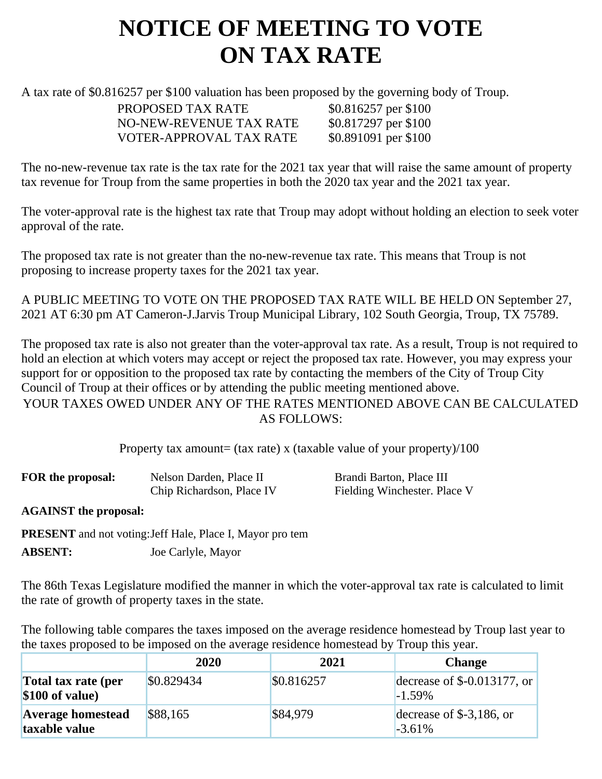## **NOTICE OF MEETING TO VOTE ON TAX RATE**

A tax rate of \$0.816257 per \$100 valuation has been proposed by the governing body of Troup.

PROPOSED TAX RATE \$0.816257 per \$100 NO-NEW-REVENUE TAX RATE \$0.817297 per \$100 VOTER-APPROVAL TAX RATE \$0.891091 per \$100

The no-new-revenue tax rate is the tax rate for the 2021 tax year that will raise the same amount of property tax revenue for Troup from the same properties in both the 2020 tax year and the 2021 tax year.

The voter-approval rate is the highest tax rate that Troup may adopt without holding an election to seek voter approval of the rate.

The proposed tax rate is not greater than the no-new-revenue tax rate. This means that Troup is not proposing to increase property taxes for the 2021 tax year.

A PUBLIC MEETING TO VOTE ON THE PROPOSED TAX RATE WILL BE HELD ON September 27, 2021 AT 6:30 pm AT Cameron-J.Jarvis Troup Municipal Library, 102 South Georgia, Troup, TX 75789.

The proposed tax rate is also not greater than the voter-approval tax rate. As a result, Troup is not required to hold an election at which voters may accept or reject the proposed tax rate. However, you may express your support for or opposition to the proposed tax rate by contacting the members of the City of Troup City Council of Troup at their offices or by attending the public meeting mentioned above. YOUR TAXES OWED UNDER ANY OF THE RATES MENTIONED ABOVE CAN BE CALCULATED AS FOLLOWS:

Property tax amount= (tax rate) x (taxable value of your property)/100

| FOR the proposal: | Nelson Darden, Place II   | Brandi Barton, Place III     |
|-------------------|---------------------------|------------------------------|
|                   | Chip Richardson, Place IV | Fielding Winchester. Place V |

**AGAINST the proposal:**

**PRESENT** and not voting:Jeff Hale, Place I, Mayor pro tem **ABSENT:** Joe Carlyle, Mayor

The 86th Texas Legislature modified the manner in which the voter-approval tax rate is calculated to limit the rate of growth of property taxes in the state.

The following table compares the taxes imposed on the average residence homestead by Troup last year to the taxes proposed to be imposed on the average residence homestead by Troup this year.

|                                           | 2020       | 2021       | <b>Change</b>                             |
|-------------------------------------------|------------|------------|-------------------------------------------|
| Total tax rate (per<br>$$100$ of value)   | \$0.829434 | \$0.816257 | decrease of $$-0.013177$ , or<br>$-1.59%$ |
| <b>Average homestead</b><br>taxable value | \$88,165   | \$84,979   | decrease of $$-3,186$ , or<br>$-3.61%$    |